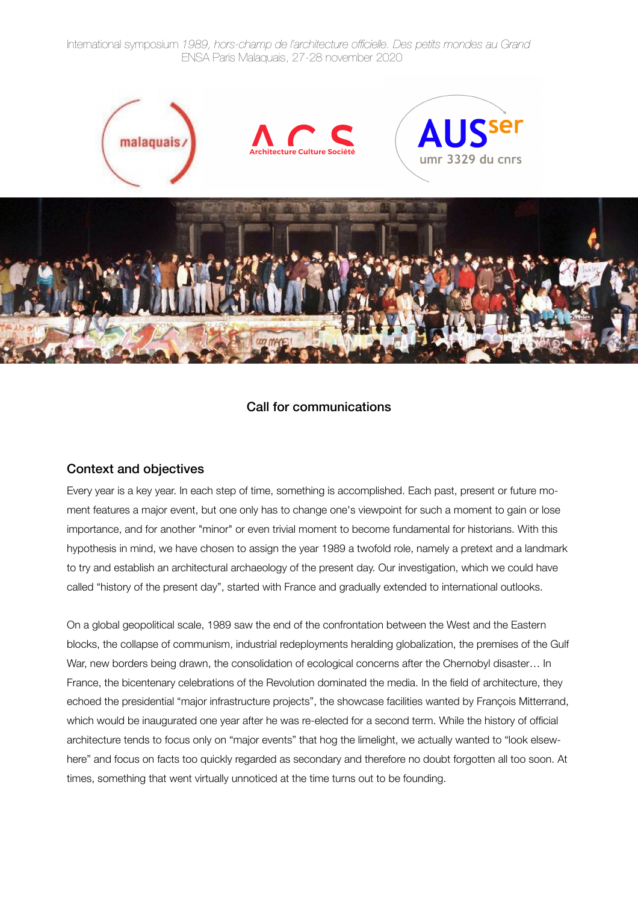International symposium *1989, hors-champ de l'architecture officielle. Des petits mondes au Grand* ENSA Paris Malaquais, 27-28 november 2020



# Call for communications

### Context and objectives

Every year is a key year. In each step of time, something is accomplished. Each past, present or future moment features a major event, but one only has to change one's viewpoint for such a moment to gain or lose importance, and for another "minor" or even trivial moment to become fundamental for historians. With this hypothesis in mind, we have chosen to assign the year 1989 a twofold role, namely a pretext and a landmark to try and establish an architectural archaeology of the present day. Our investigation, which we could have called "history of the present day", started with France and gradually extended to international outlooks.

On a global geopolitical scale, 1989 saw the end of the confrontation between the West and the Eastern blocks, the collapse of communism, industrial redeployments heralding globalization, the premises of the Gulf War, new borders being drawn, the consolidation of ecological concerns after the Chernobyl disaster... In France, the bicentenary celebrations of the Revolution dominated the media. In the field of architecture, they echoed the presidential "major infrastructure projects", the showcase facilities wanted by François Mitterrand, which would be inaugurated one year after he was re-elected for a second term. While the history of official architecture tends to focus only on "major events" that hog the limelight, we actually wanted to "look elsewhere" and focus on facts too quickly regarded as secondary and therefore no doubt forgotten all too soon. At times, something that went virtually unnoticed at the time turns out to be founding.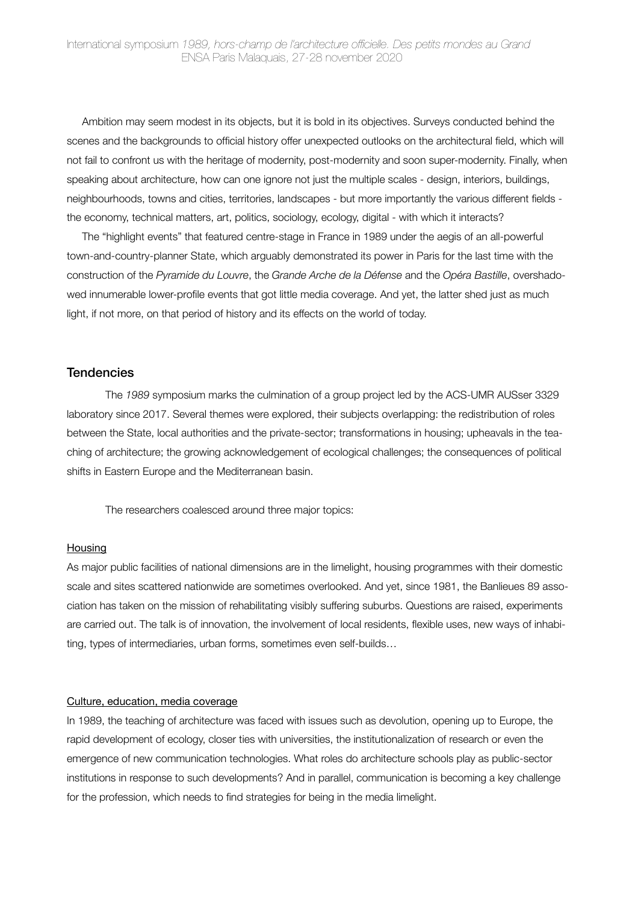Ambition may seem modest in its objects, but it is bold in its objectives. Surveys conducted behind the scenes and the backgrounds to official history offer unexpected outlooks on the architectural field, which will not fail to confront us with the heritage of modernity, post-modernity and soon super-modernity. Finally, when speaking about architecture, how can one ignore not just the multiple scales - design, interiors, buildings, neighbourhoods, towns and cities, territories, landscapes - but more importantly the various different fields the economy, technical matters, art, politics, sociology, ecology, digital - with which it interacts?

The "highlight events" that featured centre-stage in France in 1989 under the aegis of an all-powerful town-and-country-planner State, which arguably demonstrated its power in Paris for the last time with the construction of the *Pyramide du Louvre*, the *Grande Arche de la Défense* and the *Opéra Bastille*, overshadowed innumerable lower-profile events that got little media coverage. And yet, the latter shed just as much light, if not more, on that period of history and its effects on the world of today.

#### **Tendencies**

The *1989* symposium marks the culmination of a group project led by the ACS-UMR AUSser 3329 laboratory since 2017. Several themes were explored, their subjects overlapping: the redistribution of roles between the State, local authorities and the private-sector; transformations in housing; upheavals in the teaching of architecture; the growing acknowledgement of ecological challenges; the consequences of political shifts in Eastern Europe and the Mediterranean basin.

The researchers coalesced around three major topics:

#### Housing

As major public facilities of national dimensions are in the limelight, housing programmes with their domestic scale and sites scattered nationwide are sometimes overlooked. And yet, since 1981, the Banlieues 89 association has taken on the mission of rehabilitating visibly suffering suburbs. Questions are raised, experiments are carried out. The talk is of innovation, the involvement of local residents, flexible uses, new ways of inhabiting, types of intermediaries, urban forms, sometimes even self-builds…

#### Culture, education, media coverage

In 1989, the teaching of architecture was faced with issues such as devolution, opening up to Europe, the rapid development of ecology, closer ties with universities, the institutionalization of research or even the emergence of new communication technologies. What roles do architecture schools play as public-sector institutions in response to such developments? And in parallel, communication is becoming a key challenge for the profession, which needs to find strategies for being in the media limelight.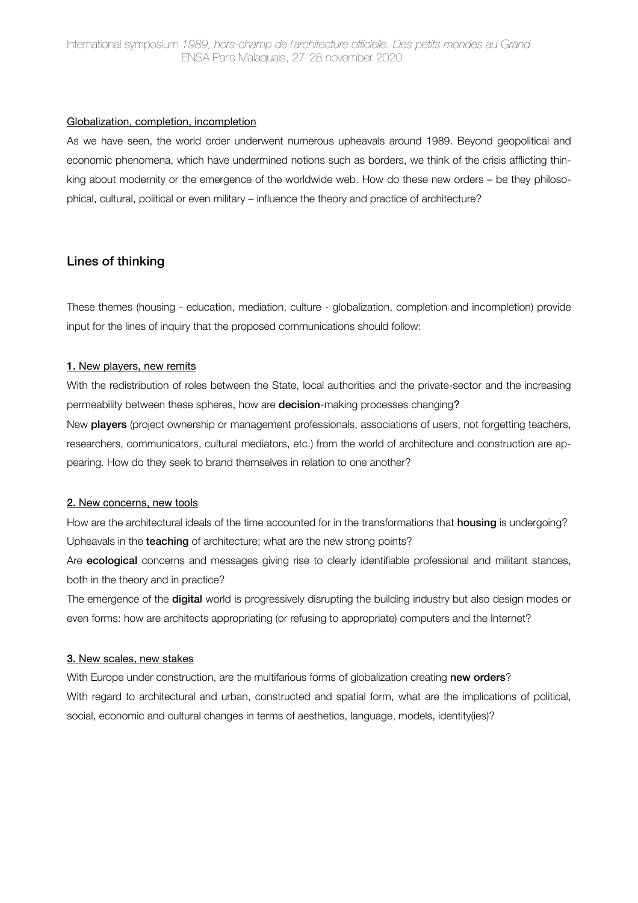### Globalization, completion, incompletion

As we have seen, the world order underwent numerous upheavals around 1989. Beyond geopolitical and economic phenomena, which have undermined notions such as borders, we think of the crisis afflicting thinking about modernity or the emergence of the worldwide web. How do these new orders – be they philosophical, cultural, political or even military – influence the theory and practice of architecture?

## Lines of thinking

These themes (housing - education, mediation, culture - globalization, completion and incompletion) provide input for the lines of inquiry that the proposed communications should follow:

#### 1. New players, new remits

With the redistribution of roles between the State, local authorities and the private-sector and the increasing permeability between these spheres, how are decision-making processes changing?

New players (project ownership or management professionals, associations of users, not forgetting teachers, researchers, communicators, cultural mediators, etc.) from the world of architecture and construction are appearing. How do they seek to brand themselves in relation to one another?

### 2. New concerns, new tools

How are the architectural ideals of the time accounted for in the transformations that **housing** is undergoing? Upheavals in the **teaching** of architecture; what are the new strong points?

Are **ecological** concerns and messages giving rise to clearly identifiable professional and militant stances, both in the theory and in practice?

The emergence of the **digital** world is progressively disrupting the building industry but also design modes or even forms: how are architects appropriating (or refusing to appropriate) computers and the Internet?

#### 3. New scales, new stakes

With Europe under construction, are the multifarious forms of globalization creating new orders? With regard to architectural and urban, constructed and spatial form, what are the implications of political, social, economic and cultural changes in terms of aesthetics, language, models, identity(ies)?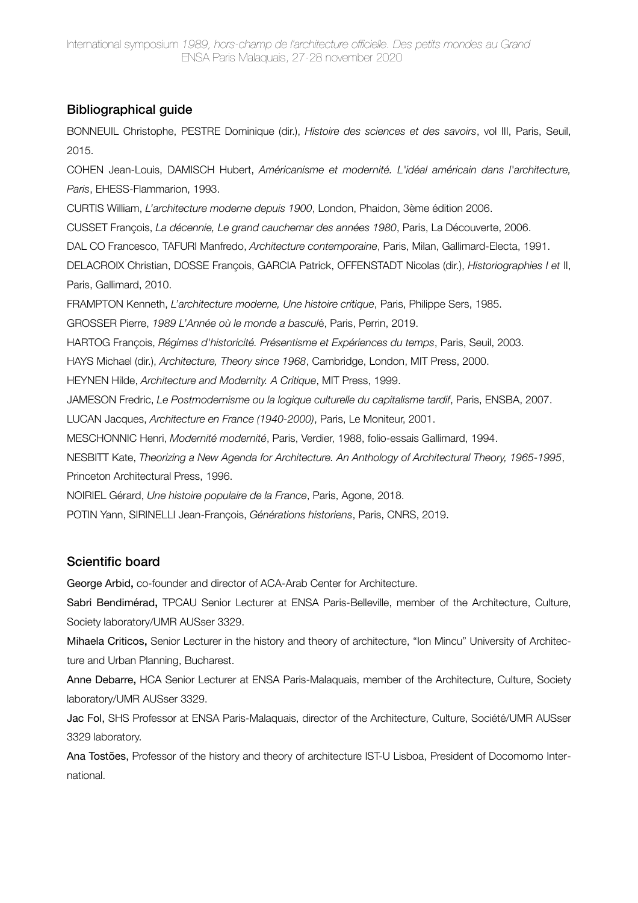# Bibliographical guide

BONNEUIL Christophe, PESTRE Dominique (dir.), *Histoire des sciences et des savoirs*, vol III, Paris, Seuil, 2015.

COHEN Jean-Louis, DAMISCH Hubert, *Américanisme et modernité. L'idéal américain dans l'architecture, Paris*, EHESS-Flammarion, 1993.

CURTIS William, *L'architecture moderne depuis 1900*, London, Phaidon, 3ème édition 2006.

CUSSET François, *La décennie, Le grand cauchemar des années 1980*, Paris, La Découverte, 2006.

DAL CO Francesco, TAFURI Manfredo, *Architecture contemporaine*, Paris, Milan, Gallimard-Electa, 1991.

DELACROIX Christian, DOSSE François, GARCIA Patrick, OFFENSTADT Nicolas (dir.), *Historiographies I et* II, Paris, Gallimard, 2010.

FRAMPTON Kenneth, *L'architecture moderne, Une histoire critique*, Paris, Philippe Sers, 1985.

GROSSER Pierre, *1989 L'Année où le monde a bascul*é, Paris, Perrin, 2019.

HARTOG François, *Régimes d'historicité. Présentisme et Expériences du temps*, Paris, Seuil, 2003.

HAYS Michael (dir.), *Architecture, Theory since 1968*, Cambridge, London, MIT Press, 2000.

HEYNEN Hilde, *Architecture and Modernity. A Critique*, MIT Press, 1999.

JAMESON Fredric, *Le Postmodernisme ou la logique culturelle du capitalisme tardif*, Paris, ENSBA, 2007.

LUCAN Jacques, *Architecture en France (1940-2000)*, Paris, Le Moniteur, 2001.

MESCHONNIC Henri, *Modernité modernité*, Paris, Verdier, 1988, folio-essais Gallimard, 1994.

NESBITT Kate, *Theorizing a New Agenda for Architecture. An Anthology of Architectural Theory, 1965-1995*, Princeton Architectural Press, 1996.

NOIRIEL Gérard, *Une histoire populaire de la France*, Paris, Agone, 2018.

POTIN Yann, SIRINELLI Jean-François, *Générations historiens*, Paris, CNRS, 2019.

# Scientific board

George Arbid, co-founder and director of ACA-Arab Center for Architecture.

Sabri Bendimérad, TPCAU Senior Lecturer at ENSA Paris-Belleville, member of the Architecture, Culture, Society laboratory/UMR AUSser 3329.

Mihaela Criticos, Senior Lecturer in the history and theory of architecture, "Ion Mincu" University of Architecture and Urban Planning, Bucharest.

Anne Debarre, HCA Senior Lecturer at ENSA Paris-Malaquais, member of the Architecture, Culture, Society laboratory/UMR AUSser 3329.

Jac Fol, SHS Professor at ENSA Paris-Malaquais, director of the Architecture, Culture, Société/UMR AUSser 3329 laboratory.

Ana Tostões, Professor of the history and theory of architecture IST-U Lisboa, President of Docomomo International.